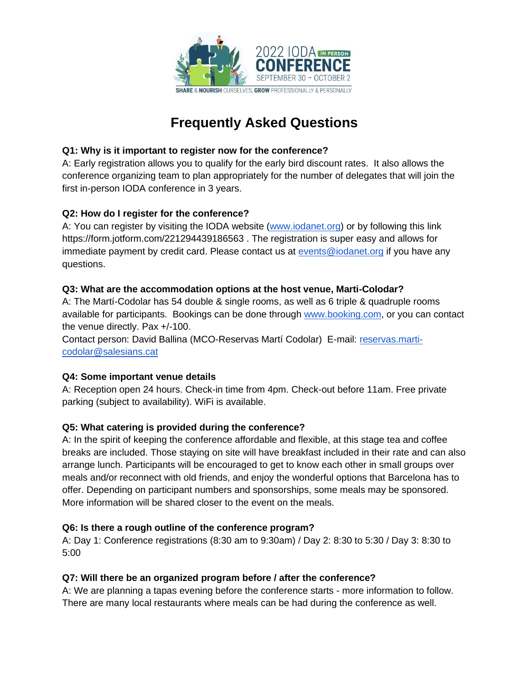

# **Frequently Asked Questions**

## **Q1: Why is it important to register now for the conference?**

A: Early registration allows you to qualify for the early bird discount rates. It also allows the conference organizing team to plan appropriately for the number of delegates that will join the first in-person IODA conference in 3 years.

# **Q2: How do I register for the conference?**

A: You can register by visiting the IODA website [\(www.iodanet.org\)](http://www.iodanet.org/) or by following this link https://form.jotform.com/221294439186563 . The registration is super easy and allows for immediate payment by credit card. Please contact us at [events@iodanet.org](mailto:events@iodanet.org) if you have any questions.

# **Q3: What are the accommodation options at the host venue, Marti-Colodar?**

A: The Martí-Codolar has 54 double & single rooms, as well as 6 triple & quadruple rooms available for participants. Bookings can be done through [www.booking.com,](http://www.booking.com/) or you can contact the venue directly. Pax +/-100.

Contact person: David Ballina (MCO-Reservas Martí Codolar) E-mail: [reservas.marti](mailto:reservas.marti-codolar@salesians.cat)[codolar@salesians.cat](mailto:reservas.marti-codolar@salesians.cat)

# **Q4: Some important venue details**

A: Reception open 24 hours. Check-in time from 4pm. Check-out before 11am. Free private parking (subject to availability). WiFi is available.

# **Q5: What catering is provided during the conference?**

A: In the spirit of keeping the conference affordable and flexible, at this stage tea and coffee breaks are included. Those staying on site will have breakfast included in their rate and can also arrange lunch. Participants will be encouraged to get to know each other in small groups over meals and/or reconnect with old friends, and enjoy the wonderful options that Barcelona has to offer. Depending on participant numbers and sponsorships, some meals may be sponsored. More information will be shared closer to the event on the meals.

#### **Q6: Is there a rough outline of the conference program?**

A: Day 1: Conference registrations (8:30 am to 9:30am) / Day 2: 8:30 to 5:30 / Day 3: 8:30 to 5:00

#### **Q7: Will there be an organized program before / after the conference?**

A: We are planning a tapas evening before the conference starts - more information to follow. There are many local restaurants where meals can be had during the conference as well.